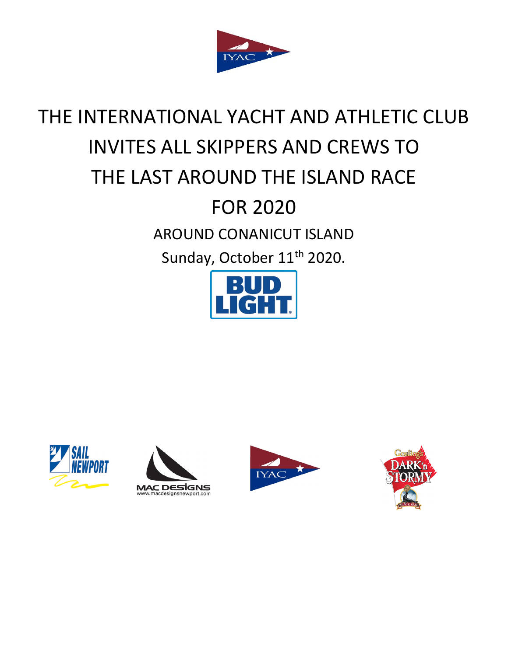

# THE INTERNATIONAL YACHT AND ATHLETIC CLUB INVITES ALL SKIPPERS AND CREWS TO THE LAST AROUND THE ISLAND RACE FOR 2020 AROUND CONANICUT ISLAND Sunday, October 11<sup>th</sup> 2020.









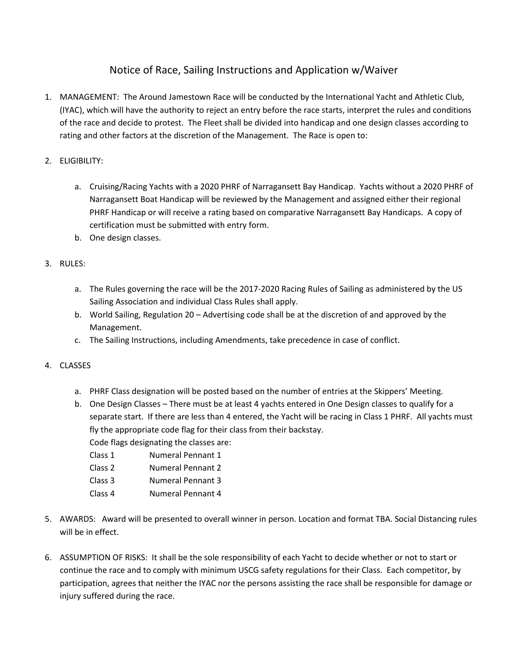## Notice of Race, Sailing Instructions and Application w/Waiver

- 1. MANAGEMENT: The Around Jamestown Race will be conducted by the International Yacht and Athletic Club, (IYAC), which will have the authority to reject an entry before the race starts, interpret the rules and conditions of the race and decide to protest. The Fleet shall be divided into handicap and one design classes according to rating and other factors at the discretion of the Management. The Race is open to:
- 2. ELIGIBILITY:
	- a. Cruising/Racing Yachts with a 2020 PHRF of Narragansett Bay Handicap. Yachts without a 2020 PHRF of Narragansett Boat Handicap will be reviewed by the Management and assigned either their regional PHRF Handicap or will receive a rating based on comparative Narragansett Bay Handicaps. A copy of certification must be submitted with entry form.
	- b. One design classes.
- 3. RULES:
	- a. The Rules governing the race will be the 2017-2020 Racing Rules of Sailing as administered by the US Sailing Association and individual Class Rules shall apply.
	- b. World Sailing, Regulation 20 Advertising code shall be at the discretion of and approved by the Management.
	- c. The Sailing Instructions, including Amendments, take precedence in case of conflict.
- 4. CLASSES
	- a. PHRF Class designation will be posted based on the number of entries at the Skippers' Meeting.
	- b. One Design Classes There must be at least 4 yachts entered in One Design classes to qualify for a separate start. If there are less than 4 entered, the Yacht will be racing in Class 1 PHRF. All yachts must fly the appropriate code flag for their class from their backstay.

Code flags designating the classes are:

- Class 1 Numeral Pennant 1
- Class 2 Numeral Pennant 2
- Class 3 Numeral Pennant 3
- Class 4 Numeral Pennant 4
- 5. AWARDS: Award will be presented to overall winner in person. Location and format TBA. Social Distancing rules will be in effect.
- 6. ASSUMPTION OF RISKS: It shall be the sole responsibility of each Yacht to decide whether or not to start or continue the race and to comply with minimum USCG safety regulations for their Class. Each competitor, by participation, agrees that neither the IYAC nor the persons assisting the race shall be responsible for damage or injury suffered during the race.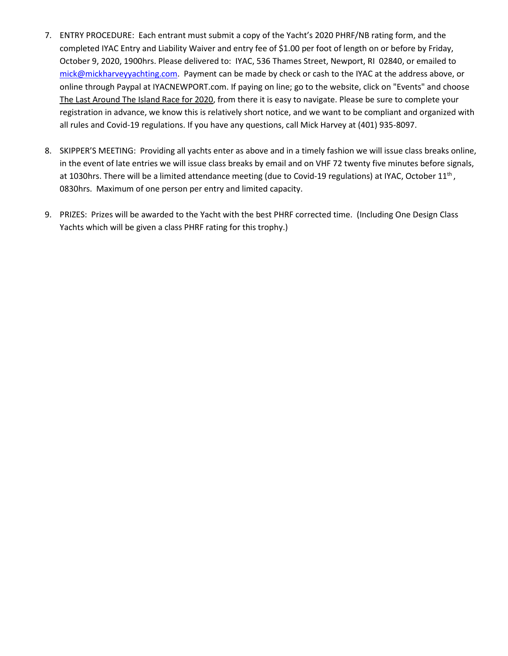- 7. ENTRY PROCEDURE: Each entrant must submit a copy of the Yacht's 2020 PHRF/NB rating form, and the completed IYAC Entry and Liability Waiver and entry fee of \$1.00 per foot of length on or before by Friday, October 9, 2020, 1900hrs. Please delivered to: IYAC, 536 Thames Street, Newport, RI 02840, or emailed to [mick@mickharveyyachting.com.](mailto:mick@mickharveyyachting.com) Payment can be made by check or cash to the IYAC at the address above, or online through Paypal at IYACNEWPORT.com. If paying on line; go to the website, click on "Events" and choose The Last Around The Island Race for 2020, from there it is easy to navigate. Please be sure to complete your registration in advance, we know this is relatively short notice, and we want to be compliant and organized with all rules and Covid-19 regulations. If you have any questions, call Mick Harvey at (401) 935-8097.
- 8. SKIPPER'S MEETING: Providing all yachts enter as above and in a timely fashion we will issue class breaks online, in the event of late entries we will issue class breaks by email and on VHF 72 twenty five minutes before signals, at 1030hrs. There will be a limited attendance meeting (due to Covid-19 regulations) at IYAC, October 11<sup>th</sup>, 0830hrs. Maximum of one person per entry and limited capacity.
- 9. PRIZES: Prizes will be awarded to the Yacht with the best PHRF corrected time. (Including One Design Class Yachts which will be given a class PHRF rating for this trophy.)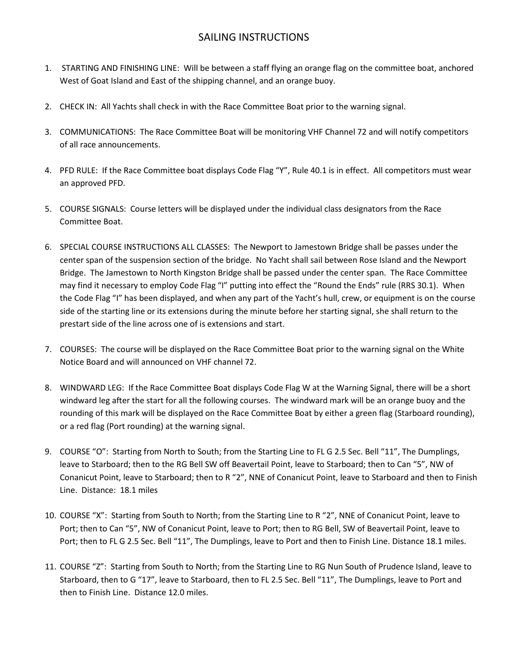### SAILING INSTRUCTIONS

- 1. STARTING AND FINISHING LINE: Will be between a staff flying an orange flag on the committee boat, anchored West of Goat Island and East of the shipping channel, and an orange buoy.
- 2. CHECK IN: All Yachts shall check in with the Race Committee Boat prior to the warning signal.
- 3. COMMUNICATIONS: The Race Committee Boat will be monitoring VHF Channel 72 and will notify competitors of all race announcements.
- 4. PFD RULE: If the Race Committee boat displays Code Flag "Y", Rule 40.1 is in effect. All competitors must wear an approved PFD.
- 5. COURSE SIGNALS: Course letters will be displayed under the individual class designators from the Race Committee Boat.
- 6. SPECIAL COURSE INSTRUCTIONS ALL CLASSES: The Newport to Jamestown Bridge shall be passes under the center span of the suspension section of the bridge. No Yacht shall sail between Rose Island and the Newport Bridge. The Jamestown to North Kingston Bridge shall be passed under the center span. The Race Committee may find it necessary to employ Code Flag "I" putting into effect the "Round the Ends" rule (RRS 30.1). When the Code Flag "I" has been displayed, and when any part of the Yacht's hull, crew, or equipment is on the course side of the starting line or its extensions during the minute before her starting signal, she shall return to the prestart side of the line across one of is extensions and start.
- 7. COURSES: The course will be displayed on the Race Committee Boat prior to the warning signal on the White Notice Board and will announced on VHF channel 72.
- 8. WINDWARD LEG: If the Race Committee Boat displays Code Flag W at the Warning Signal, there will be a short windward leg after the start for all the following courses. The windward mark will be an orange buoy and the rounding of this mark will be displayed on the Race Committee Boat by either a green flag (Starboard rounding), or a red flag (Port rounding) at the warning signal.
- 9. COURSE "O": Starting from North to South; from the Starting Line to FL G 2.5 Sec. Bell "11", The Dumplings, leave to Starboard; then to the RG Bell SW off Beavertail Point, leave to Starboard; then to Can "5", NW of Conanicut Point, leave to Starboard; then to R "2", NNE of Conanicut Point, leave to Starboard and then to Finish Line. Distance: 18.1 miles
- 10. COURSE "X": Starting from South to North; from the Starting Line to R "2", NNE of Conanicut Point, leave to Port; then to Can "5", NW of Conanicut Point, leave to Port; then to RG Bell, SW of Beavertail Point, leave to Port; then to FL G 2.5 Sec. Bell "11", The Dumplings, leave to Port and then to Finish Line. Distance 18.1 miles.
- 11. COURSE "Z": Starting from South to North; from the Starting Line to RG Nun South of Prudence Island, leave to Starboard, then to G "17", leave to Starboard, then to FL 2.5 Sec. Bell "11", The Dumplings, leave to Port and then to Finish Line. Distance 12.0 miles.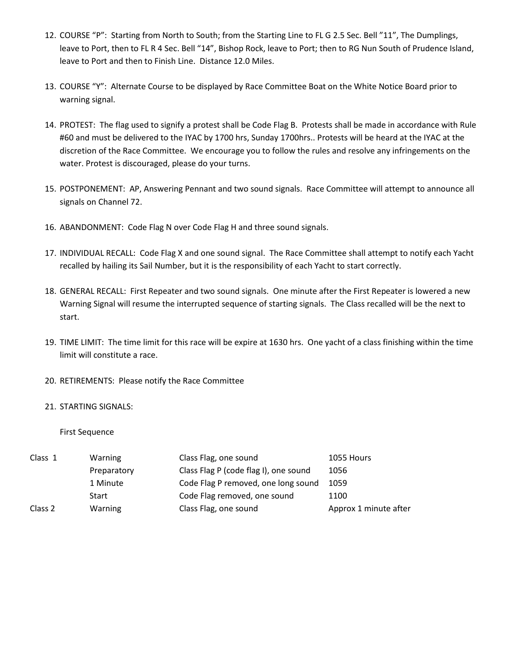- 12. COURSE "P": Starting from North to South; from the Starting Line to FL G 2.5 Sec. Bell "11", The Dumplings, leave to Port, then to FL R 4 Sec. Bell "14", Bishop Rock, leave to Port; then to RG Nun South of Prudence Island, leave to Port and then to Finish Line. Distance 12.0 Miles.
- 13. COURSE "Y": Alternate Course to be displayed by Race Committee Boat on the White Notice Board prior to warning signal.
- 14. PROTEST: The flag used to signify a protest shall be Code Flag B. Protests shall be made in accordance with Rule #60 and must be delivered to the IYAC by 1700 hrs, Sunday 1700hrs.. Protests will be heard at the IYAC at the discretion of the Race Committee. We encourage you to follow the rules and resolve any infringements on the water. Protest is discouraged, please do your turns.
- 15. POSTPONEMENT: AP, Answering Pennant and two sound signals. Race Committee will attempt to announce all signals on Channel 72.
- 16. ABANDONMENT: Code Flag N over Code Flag H and three sound signals.
- 17. INDIVIDUAL RECALL: Code Flag X and one sound signal. The Race Committee shall attempt to notify each Yacht recalled by hailing its Sail Number, but it is the responsibility of each Yacht to start correctly.
- 18. GENERAL RECALL: First Repeater and two sound signals. One minute after the First Repeater is lowered a new Warning Signal will resume the interrupted sequence of starting signals. The Class recalled will be the next to start.
- 19. TIME LIMIT: The time limit for this race will be expire at 1630 hrs. One yacht of a class finishing within the time limit will constitute a race.
- 20. RETIREMENTS: Please notify the Race Committee

#### 21. STARTING SIGNALS:

First Sequence

| Class 1 | Warning     | Class Flag, one sound                 | 1055 Hours            |
|---------|-------------|---------------------------------------|-----------------------|
|         | Preparatory | Class Flag P (code flag I), one sound | 1056                  |
|         | 1 Minute    | Code Flag P removed, one long sound   | 1059                  |
|         | Start       | Code Flag removed, one sound          | 1100                  |
| Class 2 | Warning     | Class Flag, one sound                 | Approx 1 minute after |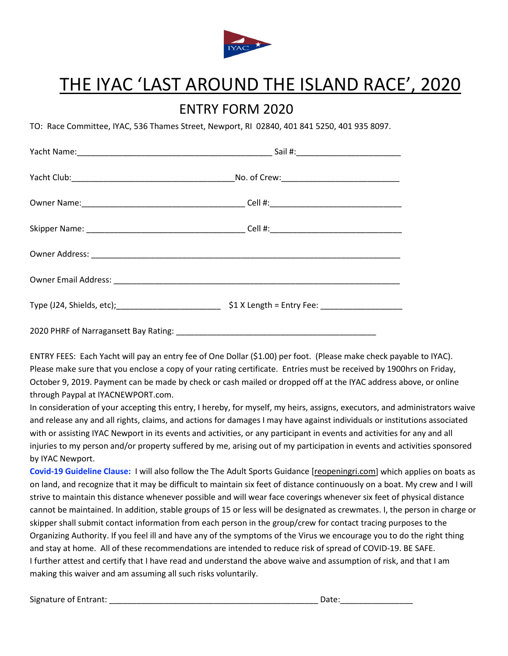

# THE IYAC 'LAST AROUND THE ISLAND RACE', 2020

# ENTRY FORM 2020

TO: Race Committee, IYAC, 536 Thames Street, Newport, RI 02840, 401 841 5250, 401 935 8097.

ENTRY FEES: Each Yacht will pay an entry fee of One Dollar (\$1.00) per foot. (Please make check payable to IYAC). Please make sure that you enclose a copy of your rating certificate. Entries must be received by 1900hrs on Friday, October 9, 2019. Payment can be made by check or cash mailed or dropped off at the IYAC address above, or online through Paypal at IYACNEWPORT.com.

In consideration of your accepting this entry, I hereby, for myself, my heirs, assigns, executors, and administrators waive and release any and all rights, claims, and actions for damages I may have against individuals or institutions associated with or assisting IYAC Newport in its events and activities, or any participant in events and activities for any and all injuries to my person and/or property suffered by me, arising out of my participation in events and activities sponsored by IYAC Newport.

**Covid-19 Guideline Clause:** I will also follow the The Adult Sports Guidance [\[reopeningri.com\]](http://reopeningri.com/) which applies on boats as on land, and recognize that it may be difficult to maintain six feet of distance continuously on a boat. My crew and I will strive to maintain this distance whenever possible and will wear face coverings whenever six feet of physical distance cannot be maintained. In addition, stable groups of 15 or less will be designated as crewmates. I, the person in charge or skipper shall submit contact information from each person in the group/crew for contact tracing purposes to the Organizing Authority. If you feel ill and have any of the symptoms of the Virus we encourage you to do the right thing and stay at home. All of these recommendations are intended to reduce risk of spread of COVID-19. BE SAFE. I further attest and certify that I have read and understand the above waive and assumption of risk, and that I am making this waiver and am assuming all such risks voluntarily.

Signature of Entrant: \_\_\_\_\_\_\_\_\_\_\_\_\_\_\_\_\_\_\_\_\_\_\_\_\_\_\_\_\_\_\_\_\_\_\_\_\_\_\_\_\_\_\_\_\_\_ Date:\_\_\_\_\_\_\_\_\_\_\_\_\_\_\_\_